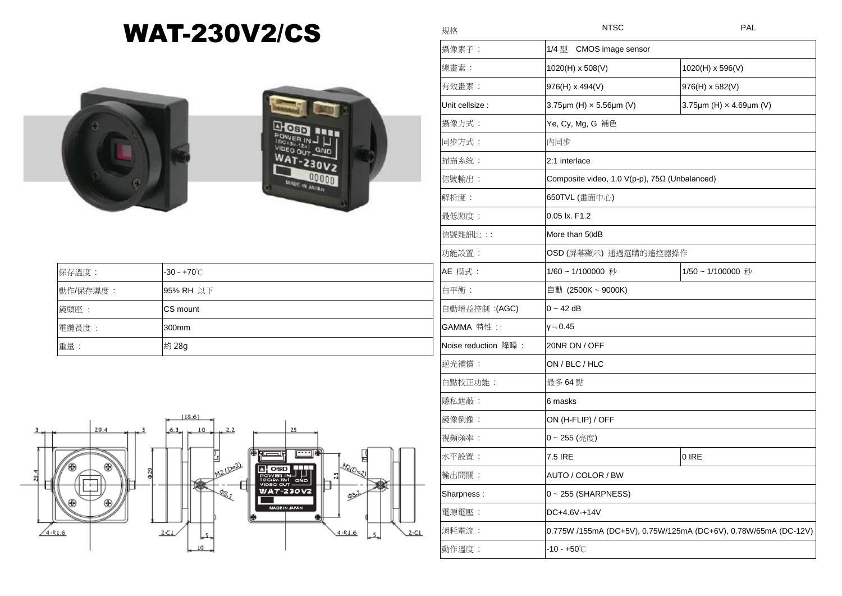## WAT-230V2/CS



保存溫度 : +70℃

|  | 攝像素子:               | 1/4 型 CMOS image sensor                                         |                         |
|--|---------------------|-----------------------------------------------------------------|-------------------------|
|  | 總畫素:                | 1020(H) x 508(V)                                                | 1020(H) x 596(V)        |
|  | 有效畫素:               | 976(H) x 494(V)                                                 | 976(H) x 582(V)         |
|  | Unit cellsize :     | 3.75µm (H) x 5.56µm (V)                                         | 3.75µm (H) x 4.69µm (V) |
|  | 攝像方式:               | Ye, Cy, Mg, G 補色                                                |                         |
|  | 同步方式:               | 内同步                                                             |                         |
|  | 掃描系統:               | 2:1 interlace                                                   |                         |
|  | 信號輸出:               | Composite video, 1.0 V(p-p), 75Ω (Unbalanced)                   |                         |
|  | 解析度:                | 650TVL (畫面中心)                                                   |                         |
|  | 最低照度:               | 0.05 lx. F1.2                                                   |                         |
|  | 信號雜訊比 ::            | More than 50dB                                                  |                         |
|  | 功能設置:               | OSD (屏幕顯示) 通過選購的遙控器操作                                           |                         |
|  | AE 模式:              | 1/60~1/100000 秒                                                 | 1/50~1/100000 秒         |
|  | 白平衡:                | 自動 (2500K ~ 9000K)                                              |                         |
|  | 自動增益控制: (AGC)       | $0 - 42$ dB                                                     |                         |
|  | GAMMA 特性 ::         | γ≒0.45                                                          |                         |
|  | Noise reduction 降噪: | 20NR ON / OFF                                                   |                         |
|  | 逆光補償:               | ON / BLC / HLC                                                  |                         |
|  | 白點校正功能:             | 最多 64 點                                                         |                         |
|  | 隱私遮蔽:               | 6 masks                                                         |                         |
|  | 鏡像倒像:               | ON (H-FLIP) / OFF                                               |                         |
|  | 視頻頻率:               | 0~255 (亮度)                                                      |                         |
|  | 水平設置:               | 7.5 IRE                                                         | $0$ IRE                 |
|  | 輸出開關:               | AUTO / COLOR / BW                                               |                         |
|  | Sharpness:          | 0~255 (SHARPNESS)                                               |                         |
|  | 電源電壓:               | DC+4.6V-+14V                                                    |                         |
|  | 消耗電流:               | 0.775W /155mA (DC+5V), 0.75W/125mA (DC+6V), 0.78W/65mA (DC-12V) |                         |
|  | 動作溫度:               | $-10 - +50^{\circ}$ C                                           |                         |

規格 しょうきょう しょうしょう いっちょう いちのみ トラスト アメリカ トランス しゅうしょう トランス しゅうしょう いちのみ しゅうしゅうしょう しゅうしゃ しゅうしゅうしょう

| 動作/保存濕度: | 95% RH 以下 |  |
|----------|-----------|--|
| 鏡頭座:     | CS mount  |  |
| 電纜長度:    | 300mm     |  |
| 重量:      | 約 28g     |  |